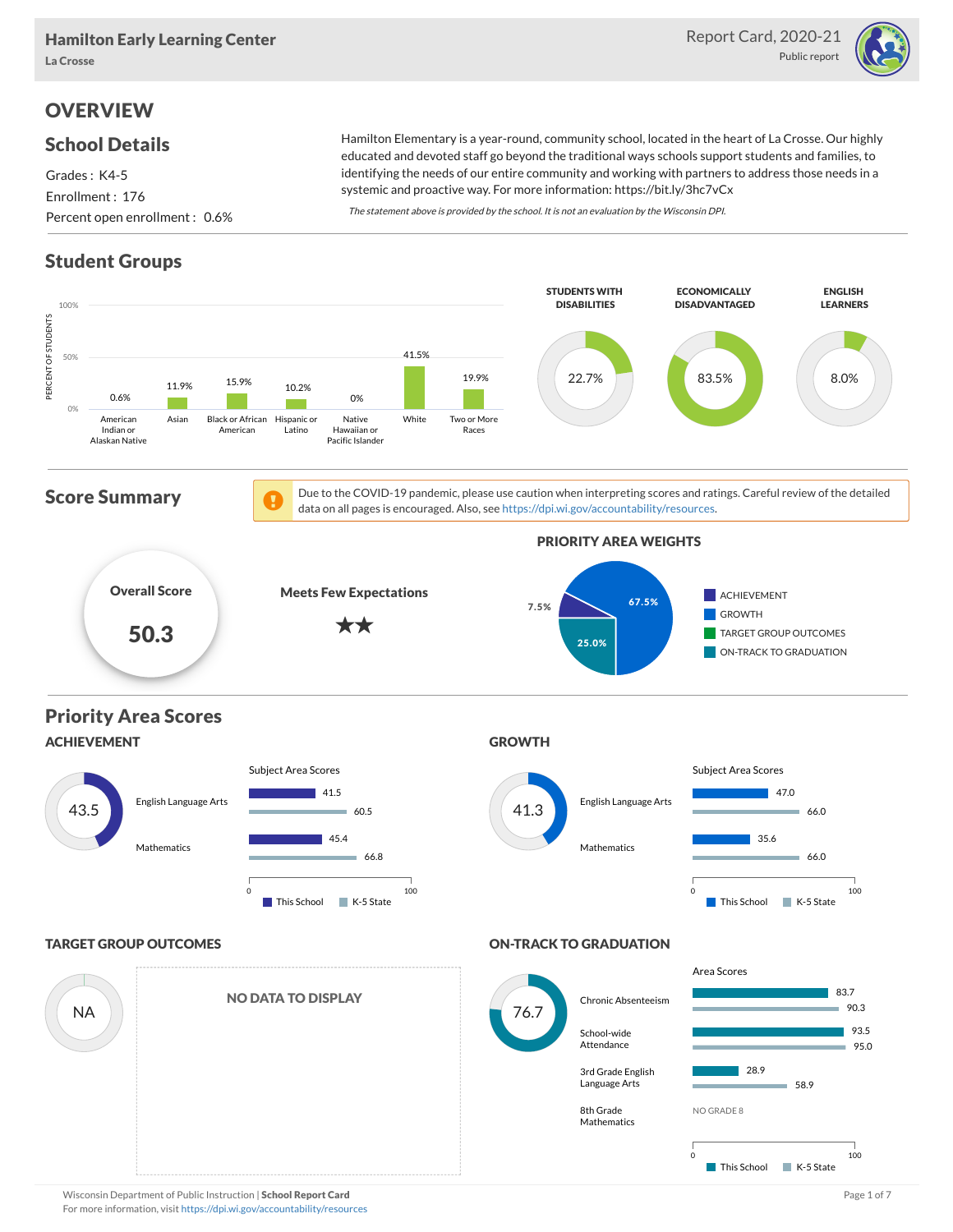

# **OVERVIEW**

#### School Details

Grades : K4-5 Enrollment : 176 Percent open enrollment : 0.6%

Hamilton Elementary is a year-round, community school, located in the heart of La Crosse. Our highly educated and devoted staff go beyond the traditional ways schools support students and families, to identifying the needs of our entire community and working with partners to address those needs in a systemic and proactive way. For more information: https://bit.ly/3hc7vCx

The statement above is provided by the school. It is not an evaluation by the Wisconsin DPI.

## Student Groups



Wisconsin Department of Public Instruction | School Report Card Page 1 of 7 and 2008 and 2008 and Page 1 of 7 For more information, visit <https://dpi.wi.gov/accountability/resources>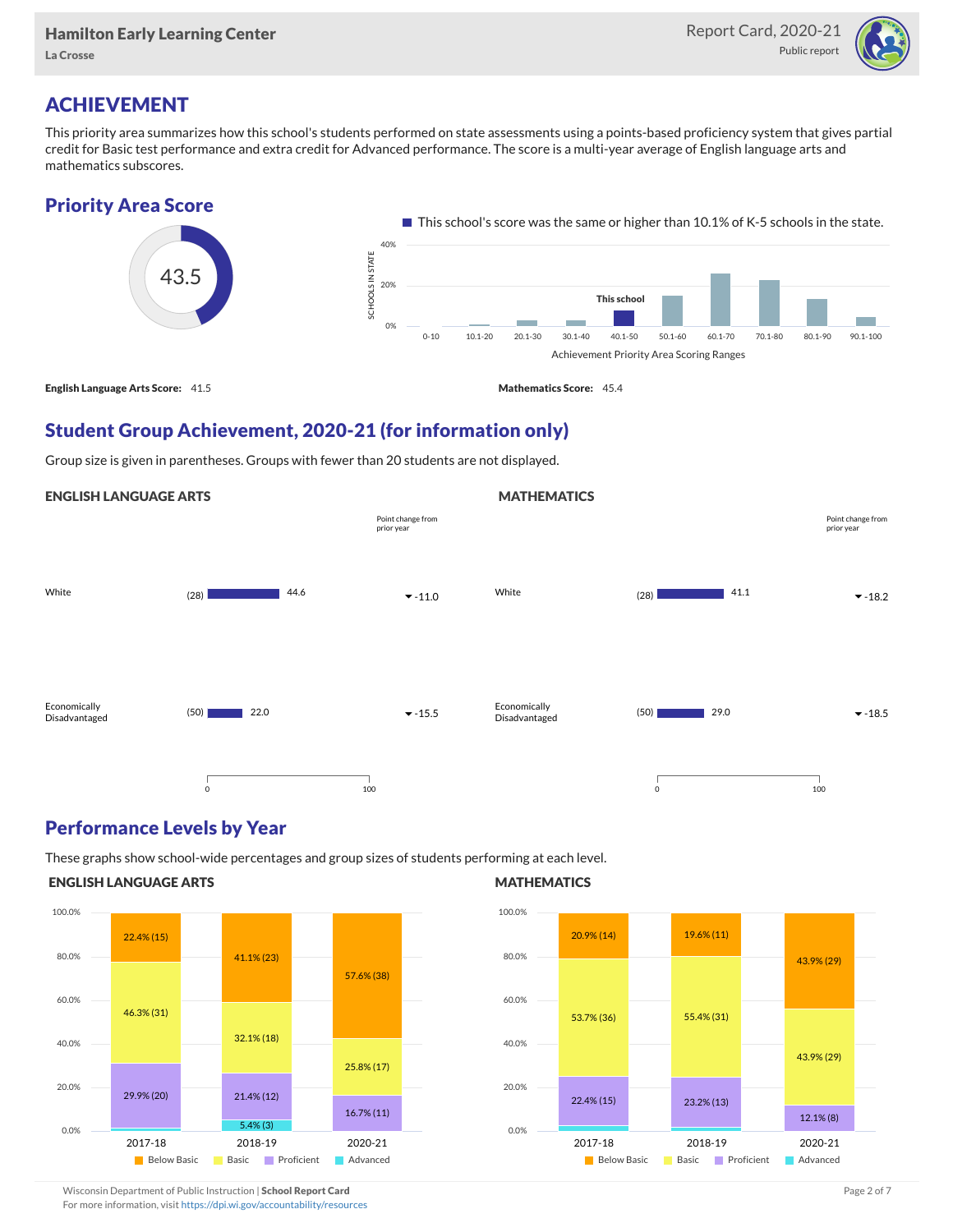

# ACHIEVEMENT

This priority area summarizes how this school's students performed on state assessments using a points-based proficiency system that gives partial credit for Basic test performance and extra credit for Advanced performance. The score is a multi-year average of English language arts and mathematics subscores.



## Student Group Achievement, 2020-21 (for information only)

Group size is given in parentheses. Groups with fewer than 20 students are not displayed.

#### ENGLISH LANGUAGE ARTS



#### Performance Levels by Year

These graphs show school-wide percentages and group sizes of students performing at each level.

#### ENGLISH LANGUAGE ARTS



#### **MATHEMATICS**

**MATHEMATICS** 



Wisconsin Department of Public Instruction | School Report Card Page 2 of 7 and 2008 and 2009 and 2 of 7 and 2 of 7

For more information, visit <https://dpi.wi.gov/accountability/resources>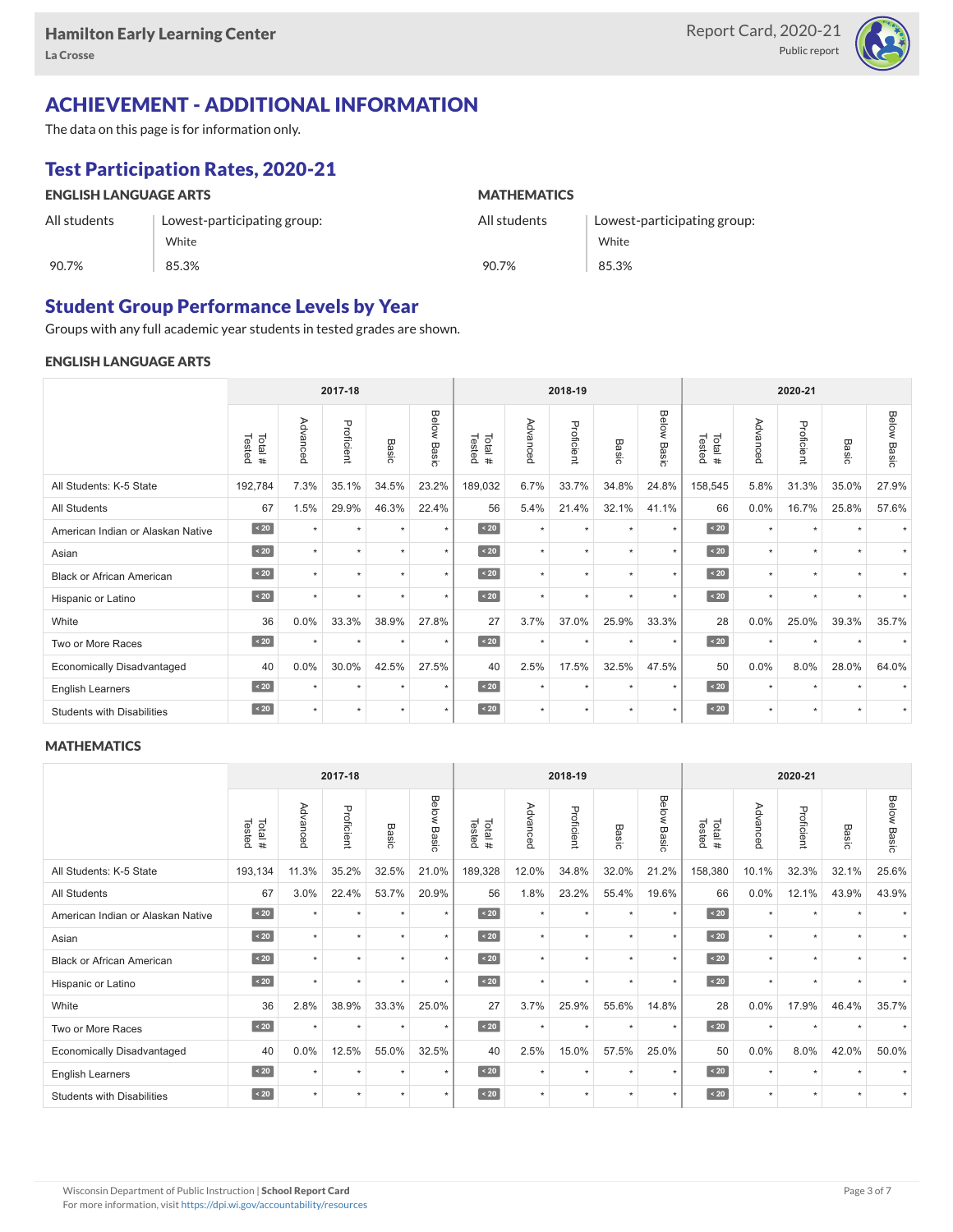

# ACHIEVEMENT - ADDITIONAL INFORMATION

The data on this page is for information only.

# Test Participation Rates, 2020-21

| <b>ENGLISH LANGUAGE ARTS</b> |                             | <b>MATHEMATICS</b> |                             |  |  |  |  |  |
|------------------------------|-----------------------------|--------------------|-----------------------------|--|--|--|--|--|
| All students                 | Lowest-participating group: | All students       | Lowest-participating group: |  |  |  |  |  |
|                              | White                       |                    | White                       |  |  |  |  |  |
| 90.7%                        | 85.3%                       | 90.7%              | 85.3%                       |  |  |  |  |  |

## Student Group Performance Levels by Year

Groups with any full academic year students in tested grades are shown.

#### ENGLISH LANGUAGE ARTS

|                                   |                  |           | 2017-18    |         |                |                  |          | 2018-19    |                      |                |                  |          | 2020-21    |           |                    |  |  |  |
|-----------------------------------|------------------|-----------|------------|---------|----------------|------------------|----------|------------|----------------------|----------------|------------------|----------|------------|-----------|--------------------|--|--|--|
|                                   | Tested<br>Total# | Advanced  | Proficient | Basic   | Below<br>Basic | Tested<br>Total# | Advanced | Proficient | Basic                | Below<br>Basic | Tested<br>Total# | Advancec | Proficient | Basic     | <b>Below Basic</b> |  |  |  |
| All Students: K-5 State           | 192,784          | 7.3%      | 35.1%      | 34.5%   | 23.2%          | 189,032          | 6.7%     | 33.7%      | 34.8%                | 24.8%          | 158,545          | 5.8%     | 31.3%      | 35.0%     | 27.9%              |  |  |  |
| <b>All Students</b>               | 67               | 1.5%      | 29.9%      | 46.3%   | 22.4%          | 56               | 5.4%     | 21.4%      | 32.1%                | 41.1%          | 66               | 0.0%     | 16.7%      | 25.8%     | 57.6%              |  |  |  |
| American Indian or Alaskan Native | $\angle 20$      | $\star$   | $\star$    | $\star$ | $\star$        | $\overline{20}$  | $\star$  | $\star$    | $\star$              | $\star$        | $\angle 20$      | $\star$  | $\star$    | $\ddot{}$ |                    |  |  |  |
| Asian                             | $\sim 20$        | $\star$   | $\star$    | $\star$ | $\star$        | $\sim 20$        | $\star$  | $\star$    | $\star$              | $\star$        | $\angle 20$      | $\star$  | $\star$    | $\ddot{}$ |                    |  |  |  |
| <b>Black or African American</b>  | $\leq 20$        | $\star$   | $\star$    | $\star$ | $\star$        | $\overline{20}$  | $\star$  | $\star$    | $\star$              | $\star$        | $\angle 20$      | $\star$  | $\star$    | $\ddot{}$ |                    |  |  |  |
| Hispanic or Latino                | $\angle 20$      |           | $\star$    | $\star$ | $\star$        | $\angle 20$      | $\star$  | $\star$    | $\star$              | $\star$        | $\angle 20$      | $\star$  | $\star$    |           |                    |  |  |  |
| White                             | 36               | 0.0%      | 33.3%      | 38.9%   | 27.8%          | 27               | 3.7%     | 37.0%      | 25.9%                | 33.3%          | 28               | 0.0%     | 25.0%      | 39.3%     | 35.7%              |  |  |  |
| Two or More Races                 | $\angle 20$      | $\ddot{}$ | $\star$    | $\star$ | $\star$        | $\sim 20$        | $\star$  | $\star$    | $\star$              | $\star$        | $\sim 20$        | $\star$  | $\star$    |           |                    |  |  |  |
| <b>Economically Disadvantaged</b> | 40               | 0.0%      | 30.0%      | 42.5%   | 27.5%          | 40               | 2.5%     | 17.5%      | 32.5%                | 47.5%          | 50               | 0.0%     | 8.0%       | 28.0%     | 64.0%              |  |  |  |
| <b>English Learners</b>           | $\sim 20$        | $\ddot{}$ | $\star$    | $\star$ | $\star$        | $\angle 20$      | $\star$  | $\star$    | $\ddot{}$            | $\star$        | $\angle 20$      | $\star$  | $\star$    |           |                    |  |  |  |
| <b>Students with Disabilities</b> | $\sim 20$        | $\star$   | $\star$    | $\star$ | $\star$        | $\sim 20$        | $\star$  | $\star$    | $\ddot{\phantom{1}}$ | $\star$        | $\sim 20$        | $\star$  | $\star$    | $\star$   |                    |  |  |  |

#### **MATHEMATICS**

|                                   | 2017-18          |          |            |         |                | 2018-19          |          |            |           | 2020-21        |                  |          |            |           |                    |
|-----------------------------------|------------------|----------|------------|---------|----------------|------------------|----------|------------|-----------|----------------|------------------|----------|------------|-----------|--------------------|
|                                   | Tested<br>Total# | Advanced | Proficient | Basic   | Below<br>Basic | Tested<br>Total# | Advanced | Proficient | Basic     | Below<br>Basic | Tested<br>Total# | Advanced | Proficient | Basic     | <b>Below Basic</b> |
| All Students: K-5 State           | 193,134          | 11.3%    | 35.2%      | 32.5%   | 21.0%          | 189,328          | 12.0%    | 34.8%      | 32.0%     | 21.2%          | 158,380          | 10.1%    | 32.3%      | 32.1%     | 25.6%              |
| All Students                      | 67               | 3.0%     | 22.4%      | 53.7%   | 20.9%          | 56               | 1.8%     | 23.2%      | 55.4%     | 19.6%          | 66               | 0.0%     | 12.1%      | 43.9%     | 43.9%              |
| American Indian or Alaskan Native | $\angle 20$      | $\star$  | $\star$    | ٠       | $\star$        | $\sim 20$        | $\star$  | $\star$    | $\star$   | $\star$        | $\sim 20$        | $\star$  | $\star$    |           |                    |
| Asian                             | $\sim 20$        | $\star$  | ٠          | ٠       | $\star$        | $\sim 20$        | $\star$  | $\star$    | $\star$   | $\star$        | $\sim 20$        | $\star$  | $\star$    | $\ddot{}$ |                    |
| <b>Black or African American</b>  | $\angle 20$      |          | ٠          |         | $\star$        | $\angle 20$      | $\star$  | $\star$    |           | $\star$        | $\angle 20$      | $\star$  | ٠          |           |                    |
| Hispanic or Latino                | $\angle 20$      |          | $\star$    | ٠       | $\star$        | $\angle 20$      | $\star$  | $\star$    | $\ddot{}$ | $\star$        | $\angle 20$      | $\star$  | $\star$    |           |                    |
| White                             | 36               | 2.8%     | 38.9%      | 33.3%   | 25.0%          | 27               | 3.7%     | 25.9%      | 55.6%     | 14.8%          | 28               | 0.0%     | 17.9%      | 46.4%     | 35.7%              |
| Two or More Races                 | $\sim 20$        |          | $\star$    | $\star$ | $\star$        | $\sim 20$        | $\star$  | $\star$    | $\star$   | $\star$        | $\sim 20$        | $\star$  | $\star$    |           |                    |
| <b>Economically Disadvantaged</b> | 40               | 0.0%     | 12.5%      | 55.0%   | 32.5%          | 40               | 2.5%     | 15.0%      | 57.5%     | 25.0%          | 50               | 0.0%     | 8.0%       | 42.0%     | 50.0%              |
| <b>English Learners</b>           | $\sim 20$        | ٠        | $\star$    | $\star$ | $\star$        | $\angle 20$      | $\star$  | $\star$    | $\star$   | $\star$        | $\sim 20$        | $\star$  | $\star$    |           |                    |
| <b>Students with Disabilities</b> | $\sim 20$        | $\star$  | $\star$    | $\star$ | $\star$        | $\sim 20$        | $\star$  | $\star$    |           | $\star$        | $\sim 20$        | $\star$  | $\star$    |           |                    |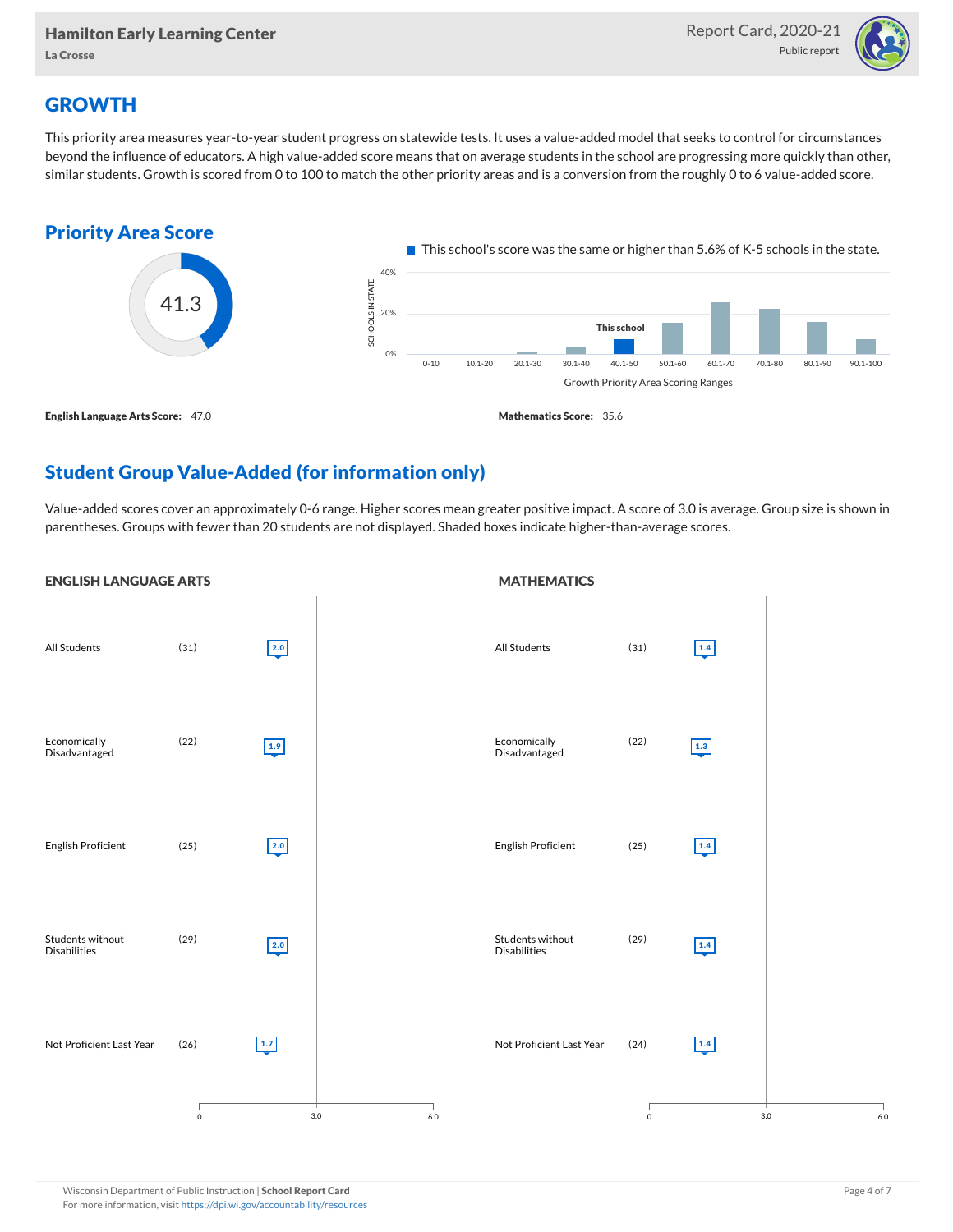

## **GROWTH**

This priority area measures year-to-year student progress on statewide tests. It uses a value-added model that seeks to control for circumstances beyond the influence of educators. A high value-added score means that on average students in the school are progressing more quickly than other, similar students. Growth is scored from 0 to 100 to match the other priority areas and is a conversion from the roughly 0 to 6 value-added score.



## Student Group Value-Added (for information only)

Value-added scores cover an approximately 0-6 range. Higher scores mean greater positive impact. A score of 3.0 is average. Group size is shown in parentheses. Groups with fewer than 20 students are not displayed. Shaded boxes indicate higher-than-average scores.

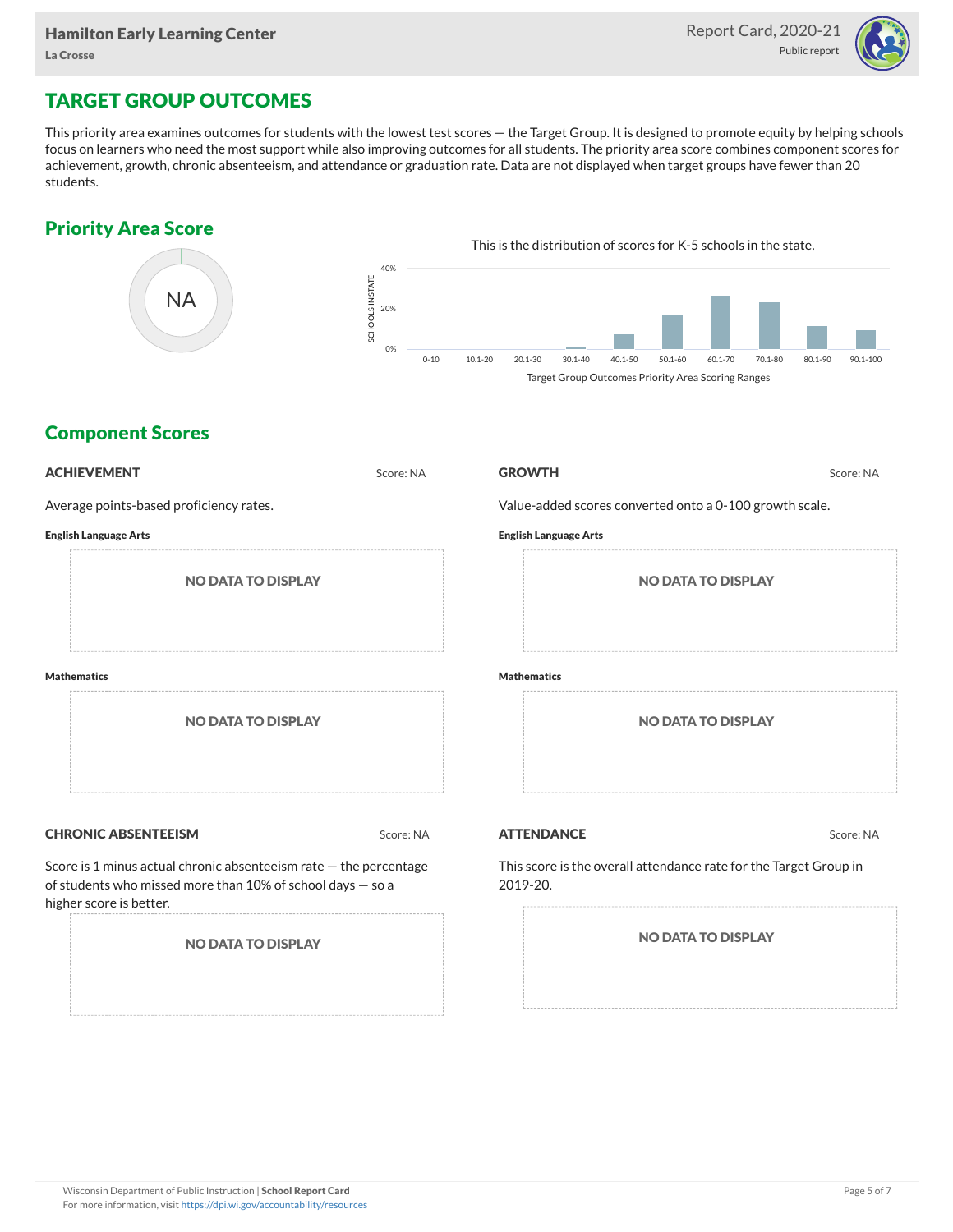

## TARGET GROUP OUTCOMES

This priority area examines outcomes for students with the lowest test scores — the Target Group. It is designed to promote equity by helping schools focus on learners who need the most support while also improving outcomes for all students. The priority area score combines component scores for achievement, growth, chronic absenteeism, and attendance or graduation rate. Data are not displayed when target groups have fewer than 20 students.

### Priority Area Score



### Component Scores

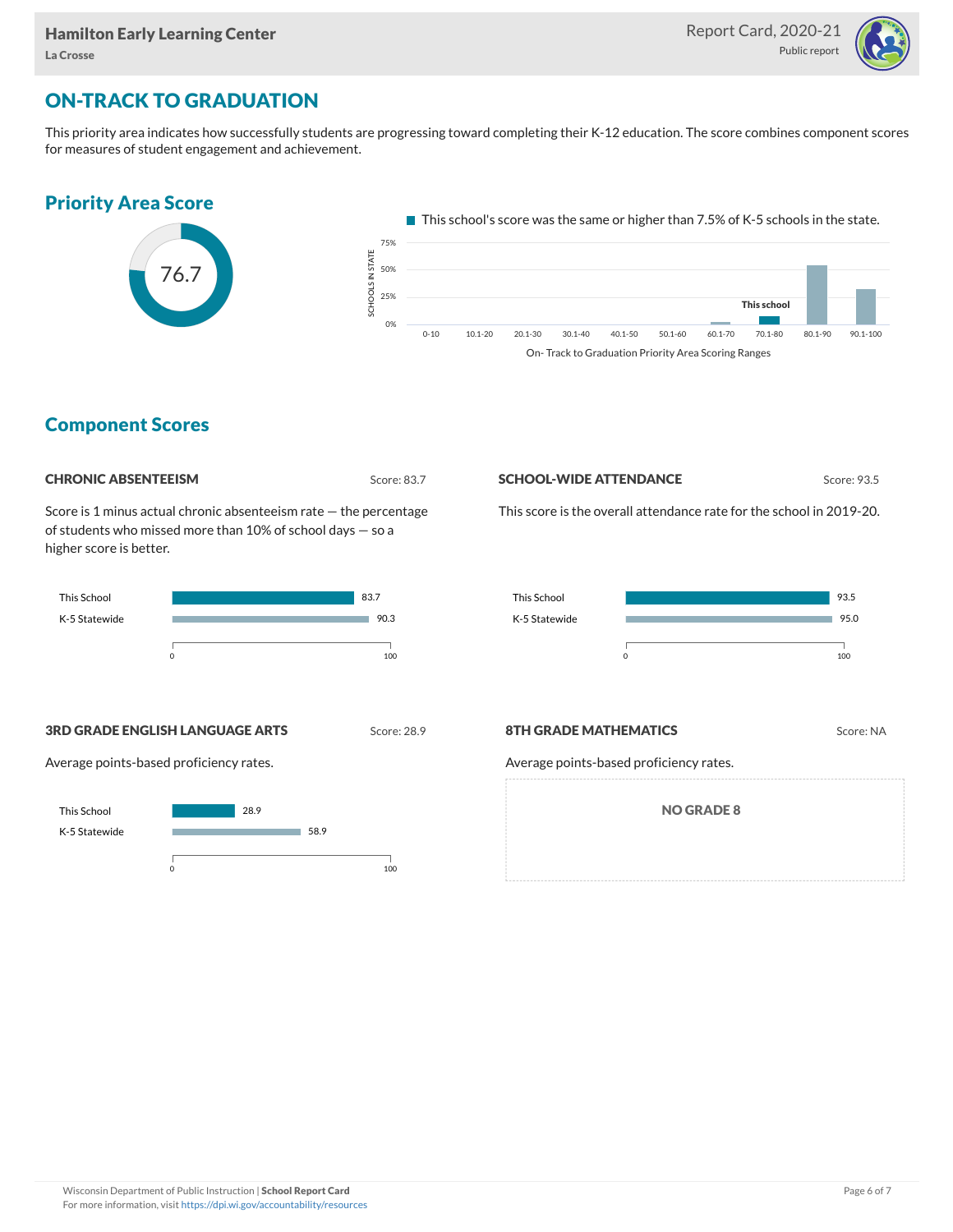

## ON-TRACK TO GRADUATION

This priority area indicates how successfully students are progressing toward completing their K-12 education. The score combines component scores for measures of student engagement and achievement.



### Component Scores



Score is 1 minus actual chronic absenteeism rate — the percentage of students who missed more than 10% of school days — so a higher score is better.



#### **SCHOOL-WIDE ATTENDANCE** Score: 93.5

This score is the overall attendance rate for the school in 2019-20.



**3RD GRADE ENGLISH LANGUAGE ARTS** Score: 28.9

Average points-based proficiency rates.



#### **8TH GRADE MATHEMATICS** Score: NA

Average points-based proficiency rates.

NO GRADE 8